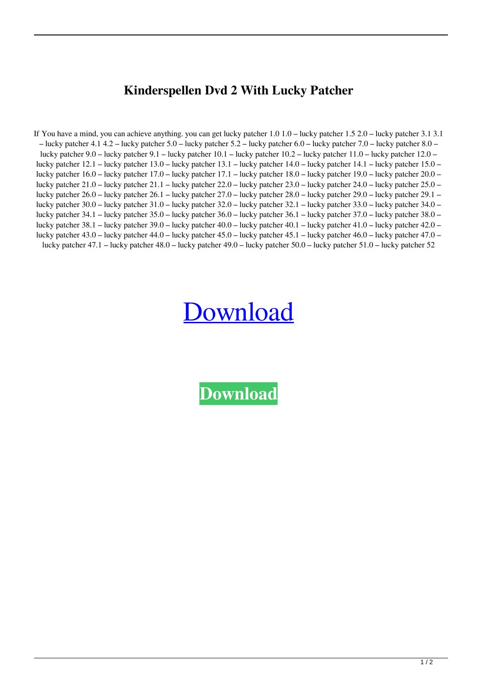## **Kinderspellen Dvd 2 With Lucky Patcher**

If You have a mind, you can achieve anything. you can get lucky patcher 1.0 1.0 – lucky patcher 1.5 2.0 – lucky patcher 3.1 3.1 – lucky patcher 4.1 4.2 – lucky patcher 5.0 – lucky patcher 5.2 – lucky patcher 6.0 – lucky patcher 7.0 – lucky patcher 8.0 – lucky patcher 9.0 – lucky patcher 9.1 – lucky patcher 10.1 – lucky patcher 10.2 – lucky patcher 11.0 – lucky patcher 12.0 – lucky patcher 12.1 – lucky patcher 13.0 – lucky patcher 13.1 – lucky patcher 14.0 – lucky patcher 14.1 – lucky patcher 15.0 – lucky patcher 16.0 – lucky patcher 17.0 – lucky patcher 17.1 – lucky patcher 18.0 – lucky patcher 19.0 – lucky patcher 20.0 – lucky patcher 21.0 – lucky patcher 21.1 – lucky patcher 22.0 – lucky patcher 23.0 – lucky patcher 24.0 – lucky patcher 25.0 – lucky patcher 26.0 – lucky patcher 26.1 – lucky patcher 27.0 – lucky patcher 28.0 – lucky patcher 29.0 – lucky patcher 29.1 – lucky patcher 30.0 – lucky patcher 31.0 – lucky patcher 32.0 – lucky patcher 32.1 – lucky patcher 33.0 – lucky patcher 34.0 – lucky patcher 34.1 – lucky patcher 35.0 – lucky patcher 36.0 – lucky patcher 36.1 – lucky patcher 37.0 – lucky patcher 38.0 – lucky patcher 38.1 – lucky patcher 39.0 – lucky patcher 40.0 – lucky patcher 40.1 – lucky patcher 41.0 – lucky patcher 42.0 – lucky patcher 43.0 – lucky patcher 44.0 – lucky patcher 45.0 – lucky patcher 45.1 – lucky patcher 46.0 – lucky patcher 47.0 – lucky patcher 47.1 – lucky patcher 48.0 – lucky patcher 49.0 – lucky patcher 50.0 – lucky patcher 51.0 – lucky patcher 52

## [Download](http://evacdir.com/customized.distancing/equalization.mbti/medicaid.ZG93bmxvYWR8UHA3TVd0eGNYeDhNVFkxTWpjME1EZzJObng4TWpVM05IeDhLRTBwSUhKbFlXUXRZbXh2WnlCYlJtRnpkQ0JIUlU1ZA/a2luZGVyc3BlbGxlbiBkdmQgMiB3aXRoIGx1Y2t5IHBhdGNoZXIa2l/glitterati.spark)

**[Download](http://evacdir.com/customized.distancing/equalization.mbti/medicaid.ZG93bmxvYWR8UHA3TVd0eGNYeDhNVFkxTWpjME1EZzJObng4TWpVM05IeDhLRTBwSUhKbFlXUXRZbXh2WnlCYlJtRnpkQ0JIUlU1ZA/a2luZGVyc3BlbGxlbiBkdmQgMiB3aXRoIGx1Y2t5IHBhdGNoZXIa2l/glitterati.spark)**